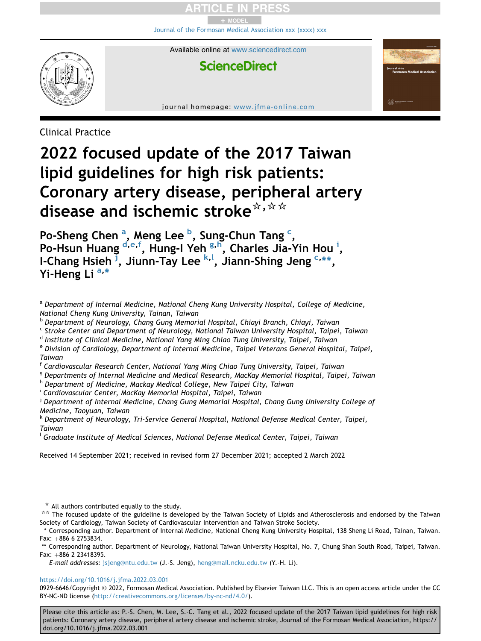+ MODEL [Journal of the Formosan Medical Association xxx \(xxxx\) xxx](https://doi.org/10.1016/j.jfma.2022.03.001)

CL E

Available online at [www.sciencedirect.com](www.sciencedirect.com/science/journal/09296646)

**ScienceDirect** 

journal homepage: [www.jfma-online.com](http://www.jfma-online.com)

Clinical Practice

# 2022 focused update of the 2017 Taiwan lipid guidelines for high risk patients: Coronary artery disease, peripheral artery disease and ischemic stroke<sup>\*,\*\*</sup>

Po-Sheng Chen <sup>[a](#page-0-0)</sup>, Meng Lee <sup>[b](#page-0-1)</sup>, Sung-Chun Tang <sup>[c](#page-0-2)</sup>, Po-Hsun Huang [d,](#page-0-3)[e](#page-0-4)[,f](#page-0-5), Hung-I Ye[h](#page-0-7) s,h, Charles J[i](#page-0-8)a-Yin Hou<sup>i</sup>, I-Chang Hsieh<sup>J</sup>, Jiunn-Tay Lee <sup>[k](#page-0-10), [l](#page-0-11)</sup>, Jiann-Shing Jeng C,[\\*\\*,](#page-0-12) Yi-Heng Li<sup>[a,](#page-0-0)\*</sup>

- <span id="page-0-0"></span>a Department of Internal Medicine, National Cheng Kung University Hospital, College of Medicine, National Cheng Kung University, Tainan, Taiwan
- <span id="page-0-1"></span><sup>b</sup> Department of Neurology, Chang Gung Memorial Hospital, Chiayi Branch, Chiayi, Taiwan
- <span id="page-0-2"></span><sup>c</sup> Stroke Center and Department of Neurology, National Taiwan University Hospital, Taipei, Taiwan
- <span id="page-0-3"></span><sup>d</sup> Institute of Clinical Medicine, National Yang Ming Chiao Tung University, Taipei, Taiwan
- <span id="page-0-4"></span><sup>e</sup> Division of Cardiology, Department of Internal Medicine, Taipei Veterans General Hospital, Taipei, Taiwan
- <span id="page-0-5"></span><sup>f</sup> Cardiovascular Research Center, National Yang Ming Chiao Tung University, Taipei, Taiwan
- <span id="page-0-6"></span><sup>g</sup> Departments of Internal Medicine and Medical Research, MacKay Memorial Hospital, Taipei, Taiwan
- <span id="page-0-7"></span>h Department of Medicine, Mackay Medical College, New Taipei City, Taiwan
- <span id="page-0-8"></span>i Cardiovascular Center, MacKay Memorial Hospital, Taipei, Taiwan
- <span id="page-0-9"></span><sup>j</sup> Department of Internal Medicine, Chang Gung Memorial Hospital, Chang Gung University College of Medicine, Taoyuan, Taiwan
- <span id="page-0-10"></span> $^\mathrm{k}$  Department of Neurology, Tri-Service General Hospital, National Defense Medical Center, Taipei, Taiwan
- <span id="page-0-11"></span><sup>l</sup> Graduate Institute of Medical Sciences, National Defense Medical Center, Taipei, Taiwan

Received 14 September 2021; received in revised form 27 December 2021; accepted 2 March 2022

<https://doi.org/10.1016/j.jfma.2022.03.001>

Please cite this article as: P.-S. Chen, M. Lee, S.-C. Tang et al., 2022 focused update of the 2017 Taiwan lipid guidelines for high risk patients: Coronary artery disease, peripheral artery disease and ischemic stroke, Journal of the Formosan Medical Association, https:// doi.org/10.1016/j.jfma.2022.03.001

 $*$  All authors contributed equally to the study.<br>\*\* The focused update of the guideline is developed by the Taiwan Society of Lipids and Atherosclerosis and endorsed by the Taiwan Society of Cardiology, Taiwan Society of Cardiovascular Intervention and Taiwan Stroke Society.

<sup>\*</sup> Corresponding author. Department of Internal Medicine, National Cheng Kung University Hospital, 138 Sheng Li Road, Tainan, Taiwan. Fax:  $+886$  6 2753834.

<span id="page-0-12"></span><sup>\*\*</sup> Corresponding author. Department of Neurology, National Taiwan University Hospital, No. 7, Chung Shan South Road, Taipei, Taiwan. Fax: +886 2 23418395.

E-mail addresses: [jsjeng@ntu.edu.tw](mailto:jsjeng@ntu.edu.tw) (J.-S. Jeng), [heng@mail.ncku.edu.tw](mailto:heng@mail.ncku.edu.tw) (Y.-H. Li).

<sup>0929-6646/</sup>Copyright © 2022, Formosan Medical Association. Published by Elsevier Taiwan LLC. This is an open access article under the CC BY-NC-ND license (<http://creativecommons.org/licenses/by-nc-nd/4.0/>).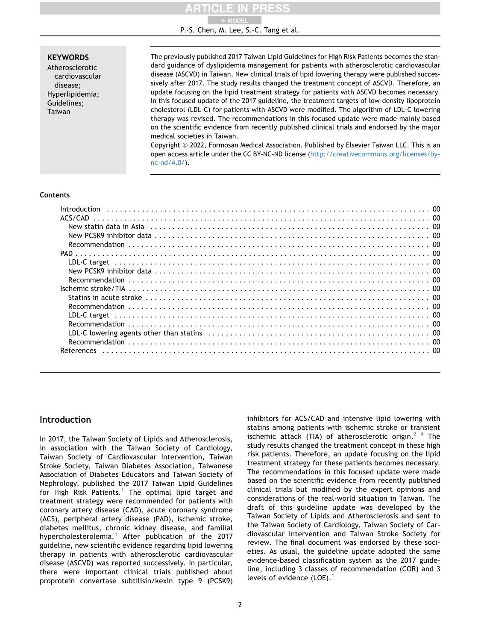+ MODEL

P.-S. Chen, M. Lee, S.-C. Tang et al.

# **KEYWORDS**

Atherosclerotic cardiovascular disease; Hyperlipidemia; Guidelines; Taiwan

The previously published 2017 Taiwan Lipid Guidelines for High Risk Patients becomes the standard guidance of dyslipidemia management for patients with atherosclerotic cardiovascular disease (ASCVD) in Taiwan. New clinical trials of lipid lowering therapy were published successively after 2017. The study results changed the treatment concept of ASCVD. Therefore, an update focusing on the lipid treatment strategy for patients with ASCVD becomes necessary. In this focused update of the 2017 guideline, the treatment targets of low-density lipoprotein cholesterol (LDL-C) for patients with ASCVD were modified. The algorithm of LDL-C lowering therapy was revised. The recommendations in this focused update were made mainly based on the scientific evidence from recently published clinical trials and endorsed by the major medical societies in Taiwan.

Copyright © 2022, Formosan Medical Association. Published by Elsevier Taiwan LLC. This is an open access article under the CC BY-NC-ND license [\(http://creativecommons.org/licenses/by](http://creativecommons.org/licenses/by-nc-nd/4.0/)[nc-nd/4.0/\)](http://creativecommons.org/licenses/by-nc-nd/4.0/).

#### **Contents**

# Introduction

In 2017, the Taiwan Society of Lipids and Atherosclerosis, in association with the Taiwan Society of Cardiology, Taiwan Society of Cardiovascular Intervention, Taiwan Stroke Society, Taiwan Diabetes Association, Taiwanese Association of Diabetes Educators and Taiwan Society of Nephrology, published the 2017 Taiwan Lipid Guidelines for High Risk Patients.<sup>[1](#page-5-0)</sup> The optimal lipid target and treatment strategy were recommended for patients with coronary artery disease (CAD), acute coronary syndrome (ACS), peripheral artery disease (PAD), ischemic stroke, diabetes mellitus, chronic kidney disease, and familial hypercholesterolemia.<sup>[1](#page-5-0)</sup> After publication of the 2017 guideline, new scientific evidence regarding lipid lowering therapy in patients with atherosclerotic cardiovascular disease (ASCVD) was reported successively. In particular, there were important clinical trials published about proprotein convertase subtilisin/kexin type 9 (PCSK9) inhibitors for ACS/CAD and intensive lipid lowering with statins among patients with ischemic stroke or transient ischemic attack (TIA) of atherosclerotic origin.<sup>[2](#page-5-1)-[4](#page-5-1)</sup> The study results changed the treatment concept in these high risk patients. Therefore, an update focusing on the lipid treatment strategy for these patients becomes necessary. The recommendations in this focused update were made based on the scientific evidence from recently published clinical trials but modified by the expert opinions and considerations of the real-world situation in Taiwan. The draft of this guideline update was developed by the Taiwan Society of Lipids and Atherosclerosis and sent to the Taiwan Society of Cardiology, Taiwan Society of Cardiovascular Intervention and Taiwan Stroke Society for review. The final document was endorsed by these societies. As usual, the guideline update adopted the same evidence-based classification system as the 2017 guideline, including 3 classes of recommendation (COR) and 3 levels of evidence  $(LOE).<sup>1</sup>$  $(LOE).<sup>1</sup>$  $(LOE).<sup>1</sup>$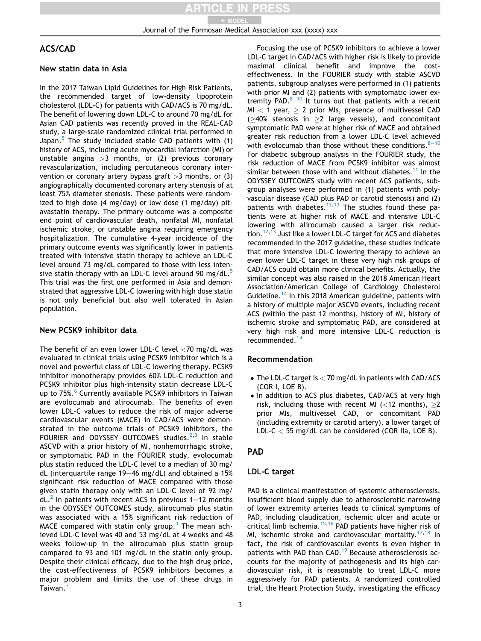# ACS/CAD

## New statin data in Asia

In the 2017 Taiwan Lipid Guidelines for High Risk Patients, the recommended target of low-density lipoprotein cholesterol (LDL-C) for patients with CAD/ACS is 70 mg/dL. The benefit of lowering down LDL-C to around 70 mg/dL for Asian CAD patients was recently proved in the REAL-CAD study, a large-scale randomized clinical trial performed in Japan. $5$  The study included stable CAD patients with (1) history of ACS, including acute myocardial infarction (MI) or unstable angina  $>3$  months, or (2) previous coronary revascularization, including percutaneous coronary intervention or coronary artery bypass graft  $>3$  months, or (3) angiographically documented coronary artery stenosis of at least 75% diameter stenosis. These patients were randomized to high dose (4 mg/day) or low dose (1 mg/day) pitavastatin therapy. The primary outcome was a composite end point of cardiovascular death, nonfatal MI, nonfatal ischemic stroke, or unstable angina requiring emergency hospitalization. The cumulative 4-year incidence of the primary outcome events was significantly lower in patients treated with intensive statin therapy to achieve an LDL-C level around 73 mg/dL compared to those with less intensive statin therapy with an LDL-C level around 90 mg/dL. $^5$  $^5$ This trial was the first one performed in Asia and demonstrated that aggressive LDL-C lowering with high dose statin is not only beneficial but also well tolerated in Asian population.

# New PCSK9 inhibitor data

The benefit of an even lower LDL-C level <70 mg/dL was evaluated in clinical trials using PCSK9 inhibitor which is a novel and powerful class of LDL-C lowering therapy. PCSK9 inhibitor monotherapy provides 60% LDL-C reduction and PCSK9 inhibitor plus high-intensity statin decrease LDL-C up to 75%.<sup>[6](#page-6-1)</sup> Currently available PCSK9 inhibitors in Taiwan are evolocumab and alirocumab. The benefits of even lower LDL-C values to reduce the risk of major adverse cardiovascular events (MACE) in CAD/ACS were demonstrated in the outcome trials of PCSK9 inhibitors, the FOURIER and ODYSSEY OUTCOMES studies.<sup>[2](#page-5-1),[3](#page-5-2)</sup> In stable ASCVD with a prior history of MI, nonhemorrhagic stroke, or symptomatic PAD in the FOURIER study, evolocumab plus statin reduced the LDL-C level to a median of 30 mg/ dL (interquartile range  $19-46$  mg/dL) and obtained a 15% significant risk reduction of MACE compared with those given statin therapy only with an LDL-C level of 92 mg/  $dL<sup>2</sup>$  $dL<sup>2</sup>$  $dL<sup>2</sup>$  In patients with recent ACS in previous 1-12 months in the ODYSSEY OUTCOMES study, alirocumab plus statin was associated with a 15% significant risk reduction of MACE compared with statin only group.<sup>[3](#page-5-2)</sup> The mean achieved LDL-C level was 40 and 53 mg/dL at 4 weeks and 48 weeks follow-up in the alirocumab plus statin group compared to 93 and 101 mg/dL in the statin only group. Despite their clinical efficacy, due to the high drug price, the cost-effectiveness of PCSK9 inhibitors becomes a major problem and limits the use of these drugs in Taiwan.<sup>[7](#page-6-2)</sup>

Focusing the use of PCSK9 inhibitors to achieve a lower LDL-C target in CAD/ACS with higher risk is likely to provide maximal clinical benefit and improve the costeffectiveness. In the FOURIER study with stable ASCVD patients, subgroup analyses were performed in (1) patients with prior MI and (2) patients with symptomatic lower extremity PAD. $8-10$  $8-10$  It turns out that patients with a recent  $M_1 < 1$  year,  $\geq 2$  prior MIs, presence of multivessel CAD  $( \geq 40\%$  stenosis in  $\geq 2$  large vessels), and concomitant symptomatic PAD were at higher risk of MACE and obtained greater risk reduction from a lower LDL-C level achieved with evolocumab than those without these conditions.  $8-10$  $8-10$  $8-10$ For diabetic subgroup analysis in the FOURIER study, the risk reduction of MACE from PCSK9 inhibitor was almost similar between those with and without diabetes.<sup>[11](#page-6-4)</sup> In the ODYSSEY OUTCOMES study with recent ACS patients, subgroup analyses were performed in (1) patients with polyvascular disease (CAD plus PAD or carotid stenosis) and (2) patients with diabetes.<sup>[12](#page-6-5),[13](#page-6-6)</sup> The studies found these patients were at higher risk of MACE and intensive LDL-C lowering with alirocumab caused a larger risk reduc-tion.<sup>[12,](#page-6-5)[13](#page-6-6)</sup> Just like a lower LDL-C target for ACS and diabetes recommended in the 2017 guideline, these studies indicate that more intensive LDL-C lowering therapy to achieve an even lower LDL-C target in these very high risk groups of CAD/ACS could obtain more clinical benefits. Actually, the similar concept was also raised in the 2018 American Heart Association/American College of Cardiology Cholesterol Guideline.<sup>[14](#page-6-7)</sup> In this 2018 American guideline, patients with a history of multiple major ASCVD events, including recent ACS (within the past 12 months), history of MI, history of ischemic stroke and symptomatic PAD, are considered at very high risk and more intensive LDL-C reduction is recommended.[14](#page-6-7)

# Recommendation

- $\bullet$  The LDL-C target is  $<$  70 mg/dL in patients with CAD/ACS (COR I, LOE B).
- In addition to ACS plus diabetes, CAD/ACS at very high risk, including those with recent MI (<12 months),  $\geq$ 2 prior MIs, multivessel CAD, or concomitant PAD (including extremity or carotid artery), a lower target of LDL-C  $<$  55 mg/dL can be considered (COR IIa, LOE B).

# PAD

# LDL-C target

PAD is a clinical manifestation of systemic atherosclerosis. Insufficient blood supply due to atherosclerotic narrowing of lower extremity arteries leads to clinical symptoms of PAD, including claudication, ischemic ulcer and acute or critical limb ischemia.<sup>[15,](#page-6-8)[16](#page-6-9)</sup> PAD patients have higher risk of MI, ischemic stroke and cardiovascular mortality.<sup>[17,](#page-6-10)[18](#page-6-11)</sup> In fact, the risk of cardiovascular events is even higher in patients with PAD than CAD.<sup>[19](#page-6-12)</sup> Because atherosclerosis accounts for the majority of pathogenesis and its high cardiovascular risk, it is reasonable to treat LDL-C more aggressively for PAD patients. A randomized controlled trial, the Heart Protection Study, investigating the efficacy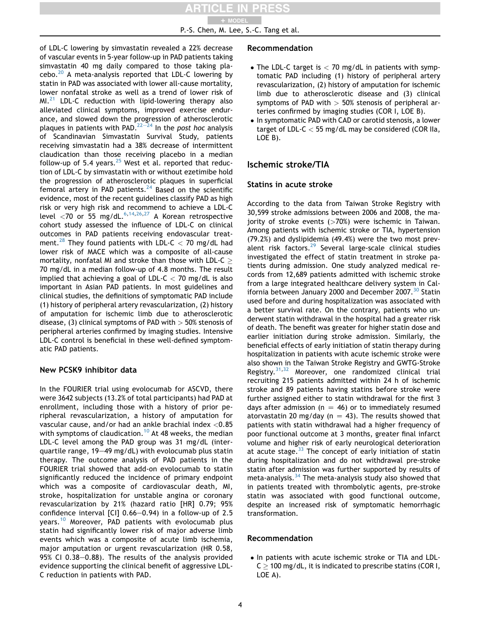of LDL-C lowering by simvastatin revealed a 22% decrease of vascular events in 5-year follow-up in PAD patients taking simvastatin 40 mg daily compared to those taking placebo. $20$  A meta-analysis reported that LDL-C lowering by statin in PAD was associated with lower all-cause mortality, lower nonfatal stroke as well as a trend of lower risk of  $MI^{21}$  $MI^{21}$  $MI^{21}$  LDL-C reduction with lipid-lowering therapy also alleviated clinical symptoms, improved exercise endurance, and slowed down the progression of atherosclerotic plaques in patients with PAD.<sup>[22](#page-6-15)–[24](#page-6-15)</sup> In the post hoc analysis of Scandinavian Simvastatin Survival Study, patients receiving simvastatin had a 38% decrease of intermittent claudication than those receiving placebo in a median follow-up of 5.4 years. $25$  West et al. reported that reduction of LDL-C by simvastatin with or without ezetimibe hold the progression of atherosclerotic plaques in superficial femoral artery in PAD patients.<sup>[24](#page-6-17)</sup> Based on the scientific evidence, most of the recent guidelines classify PAD as high risk or very high risk and recommend to achieve a LDL-C level  $\langle 70 \text{ or } 55 \text{ mg/dL}^{6,14,26,27}$  $\langle 70 \text{ or } 55 \text{ mg/dL}^{6,14,26,27}$  $\langle 70 \text{ or } 55 \text{ mg/dL}^{6,14,26,27}$  $\langle 70 \text{ or } 55 \text{ mg/dL}^{6,14,26,27}$  $\langle 70 \text{ or } 55 \text{ mg/dL}^{6,14,26,27}$  $\langle 70 \text{ or } 55 \text{ mg/dL}^{6,14,26,27}$  A Korean retrospective cohort study assessed the influence of LDL-C on clinical outcomes in PAD patients receiving endovascular treat-ment.<sup>[28](#page-6-20)</sup> They found patients with LDL-C  $<$  70 mg/dL had lower risk of MACE which was a composite of all-cause mortality, nonfatal MI and stroke than those with LDL-C  $>$ 70 mg/dL in a median follow-up of 4.8 months. The result implied that achieving a goal of LDL-C  $<$  70 mg/dL is also important in Asian PAD patients. In most guidelines and clinical studies, the definitions of symptomatic PAD include (1) history of peripheral artery revascularization, (2) history of amputation for ischemic limb due to atherosclerotic disease, (3) clinical symptoms of PAD with  $>$  50% stenosis of peripheral arteries confirmed by imaging studies. Intensive LDL-C control is beneficial in these well-defined symptomatic PAD patients.

# New PCSK9 inhibitor data

In the FOURIER trial using evolocumab for ASCVD, there were 3642 subjects (13.2% of total participants) had PAD at enrollment, including those with a history of prior peripheral revascularization, a history of amputation for vascular cause, and/or had an ankle brachial index <0.85 with symptoms of claudication.<sup>[10](#page-6-21)</sup> At 48 weeks, the median LDL-C level among the PAD group was 31 mg/dL (interquartile range, 19-49 mg/dL) with evolocumab plus statin therapy. The outcome analysis of PAD patients in the FOURIER trial showed that add-on evolocumab to statin significantly reduced the incidence of primary endpoint which was a composite of cardiovascular death, MI, stroke, hospitalization for unstable angina or coronary revascularization by 21% (hazard ratio [HR] 0.79; 95% confidence interval  $\lceil$ CI] 0.66-0.94) in a follow-up of 2.5 years.<sup>[10](#page-6-21)</sup> Moreover, PAD patients with evolocumab plus statin had significantly lower risk of major adverse limb events which was a composite of acute limb ischemia, major amputation or urgent revascularization (HR 0.58, 95% CI 0.38 $-0.88$ ). The results of the analysis provided evidence supporting the clinical benefit of aggressive LDL-C reduction in patients with PAD.

# Recommendation

- $\bullet$  The LDL-C target is  $<$  70 mg/dL in patients with symptomatic PAD including (1) history of peripheral artery revascularization, (2) history of amputation for ischemic limb due to atherosclerotic disease and (3) clinical symptoms of PAD with  $>$  50% stenosis of peripheral arteries confirmed by imaging studies (COR I, LOE B).
- In symptomatic PAD with CAD or carotid stenosis, a lower target of LDL-C  $<$  55 mg/dL may be considered (COR IIa, LOE B).

# Ischemic stroke/TIA

# Statins in acute stroke

According to the data from Taiwan Stroke Registry with 30,599 stroke admissions between 2006 and 2008, the majority of stroke events (>70%) were ischemic in Taiwan. Among patients with ischemic stroke or TIA, hypertension (79.2%) and dyslipidemia (49.4%) were the two most prevalent risk factors. $29$  Several large-scale clinical studies investigated the effect of statin treatment in stroke patients during admission. One study analyzed medical records from 12,689 patients admitted with ischemic stroke from a large integrated healthcare delivery system in Cal-ifornia between January 2000 and December 2007.<sup>[30](#page-6-23)</sup> Statin used before and during hospitalization was associated with a better survival rate. On the contrary, patients who underwent statin withdrawal in the hospital had a greater risk of death. The benefit was greater for higher statin dose and earlier initiation during stroke admission. Similarly, the beneficial effects of early initiation of statin therapy during hospitalization in patients with acute ischemic stroke were also shown in the Taiwan Stroke Registry and GWTG-Stroke Registry.[31](#page-7-0),[32](#page-7-1) Moreover, one randomized clinical trial recruiting 215 patients admitted within 24 h of ischemic stroke and 89 patients having statins before stroke were further assigned either to statin withdrawal for the first 3 days after admission ( $n = 46$ ) or to immediately resumed atorvastatin 20 mg/day ( $n = 43$ ). The results showed that patients with statin withdrawal had a higher frequency of poor functional outcome at 3 months, greater final infarct volume and higher risk of early neurological deterioration at acute stage. $33$  The concept of early initiation of statin during hospitalization and do not withdrawal pre-stroke statin after admission was further supported by results of meta-analysis.<sup>[34](#page-7-3)</sup> The meta-analysis study also showed that in patients treated with thrombolytic agents, pre-stroke statin was associated with good functional outcome, despite an increased risk of symptomatic hemorrhagic transformation.

# Recommendation

• In patients with acute ischemic stroke or TIA and LDL- $C \ge 100$  mg/dL, it is indicated to prescribe statins (COR I, LOE A).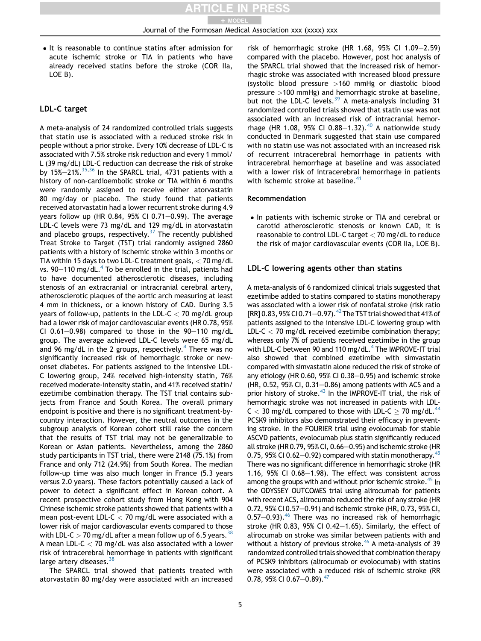• It is reasonable to continue statins after admission for acute ischemic stroke or TIA in patients who have already received statins before the stroke (COR IIa, LOE B).

# LDL-C target

A meta-analysis of 24 randomized controlled trials suggests that statin use is associated with a reduced stroke risk in people without a prior stroke. Every 10% decrease of LDL-C is associated with 7.5% stroke risk reduction and every 1 mmol/ L (39 mg/dL) LDL-C reduction can decrease the risk of stroke by  $15\% - 21\%$ .  $35,36$  $35,36$  In the SPARCL trial, 4731 patients with a history of non-cardioembolic stroke or TIA within 6 months were randomly assigned to receive either atorvastatin 80 mg/day or placebo. The study found that patients received atorvastatin had a lower recurrent stroke during 4.9 years follow up (HR 0.84, 95% CI 0.71 $-0.99$ ). The average LDL-C levels were 73 mg/dL and 129 mg/dL in atorvastatin and placebo groups, respectively.<sup>37</sup> The recently published Treat Stroke to Target (TST) trial randomly assigned 2860 patients with a history of ischemic stroke within 3 months or TIA within 15 days to two LDL-C treatment goals, < 70 mg/dL vs. 90–110 mg/dL. $4$  To be enrolled in the trial, patients had to have documented atherosclerotic diseases, including stenosis of an extracranial or intracranial cerebral artery, atherosclerotic plaques of the aortic arch measuring at least 4 mm in thickness, or a known history of CAD. During 3.5 years of follow-up, patients in the LDL-C  $<$  70 mg/dL group had a lower risk of major cardiovascular events (HR 0.78, 95% CI 0.61-0.98) compared to those in the  $90-110$  mg/dL group. The average achieved LDL-C levels were 65 mg/dL and 96 mg/dL in the 2 groups, respectively.<sup>4</sup> There was no significantly increased risk of hemorrhagic stroke or newonset diabetes. For patients assigned to the intensive LDL-C lowering group, 24% received high-intensity statin, 76% received moderate-intensity statin, and 41% received statin/ ezetimibe combination therapy. The TST trial contains subjects from France and South Korea. The overall primary endpoint is positive and there is no significant treatment-bycountry interaction. However, the neutral outcomes in the subgroup analysis of Korean cohort still raise the concern that the results of TST trial may not be generalizable to Korean or Asian patients. Nevertheless, among the 2860 study participants in TST trial, there were 2148 (75.1%) from France and only 712 (24.9%) from South Korea. The median follow-up time was also much longer in France (5.3 years versus 2.0 years). These factors potentially caused a lack of power to detect a significant effect in Korean cohort. A recent prospective cohort study from Hong Kong with 904 Chinese ischemic stroke patients showed that patients with a mean post-event LDL-C < 70 mg/dL were associated with a lower risk of major cardiovascular events compared to those with LDL-C  $>$  70 mg/dL after a mean follow up of 6.5 years.<sup>38</sup> A mean LDL-C < 70 mg/dL was also associated with a lower risk of intracerebral hemorrhage in patients with significant large artery diseases.  $38$ 

The SPARCL trial showed that patients treated with atorvastatin 80 mg/day were associated with an increased risk of hemorrhagic stroke (HR 1.68,  $95\%$  CI 1.09-2.59) compared with the placebo. However, post hoc analysis of the SPARCL trial showed that the increased risk of hemorrhagic stroke was associated with increased blood pressure (systolic blood pressure >160 mmHg or diastolic blood pressure >100 mmHg) and hemorrhagic stroke at baseline, but not the LDL-C levels.<sup>[39](#page-7-8)</sup> A meta-analysis including 31 randomized controlled trials showed that statin use was not associated with an increased risk of intracranial hemor-rhage (HR 1.08, 95% CI 0.88-1.32).<sup>[40](#page-7-9)</sup> A nationwide study conducted in Denmark suggested that stain use compared with no statin use was not associated with an increased risk of recurrent intracerebral hemorrhage in patients with intracerebral hemorrhage at baseline and was associated with a lower risk of intracerebral hemorrhage in patients with ischemic stroke at baseline.<sup>[41](#page-7-10)</sup>

#### Recommendation

• In patients with ischemic stroke or TIA and cerebral or carotid atherosclerotic stenosis or known CAD, it is reasonable to control LDL-C target < 70 mg/dL to reduce the risk of major cardiovascular events (COR IIa, LOE B).

#### LDL-C lowering agents other than statins

A meta-analysis of 6 randomized clinical trials suggested that ezetimibe added to statins compared to statins monotherapy was associated with a lower risk of nonfatal stroke (risk ratio  $[RR] 0.83, 95\%$  CI 0.71-0.97).<sup>42</sup> The TST trial showed that 41% of patients assigned to the intensive LDL-C lowering group with LDL-C  $<$  70 mg/dL received ezetimibe combination therapy; whereas only 7% of patients received ezetimibe in the group with LDL-C between 90 and 110 mg/dL.<sup>4</sup> The IMPROVE-IT trial also showed that combined ezetimibe with simvastatin compared with simvastatin alone reduced the risk of stroke of any etiology (HR  $0.60$ ,  $95\%$  CI  $0.38-0.95$ ) and ischemic stroke (HR,  $0.52$ ,  $95\%$  CI,  $0.31-0.86$ ) among patients with ACS and a prior history of stroke. $43$  In the IMPROVE-IT trial, the risk of hemorrhagic stroke was not increased in patients with LDL- $C < 30$  mg/dL compared to those with LDL-C  $\geq$  70 mg/dL.<sup>[44](#page-7-13)</sup> PCSK9 inhibitors also demonstrated their efficacy in preventing stroke. In the FOURIER trial using evolocumab for stable ASCVD patients, evolocumab plus statin significantly reduced all stroke (HR  $0.79$ ,  $95\%$  CI,  $0.66-0.95$ ) and ischemic stroke (HR 0.75, 95% CI 0.62–0.92) compared with statin monotherapy. $45$ There was no significant difference in hemorrhagic stroke (HR 1.16,  $95\%$  CI 0.68-1.98). The effect was consistent across among the groups with and without prior ischemic stroke.<sup>45</sup> In the ODYSSEY OUTCOMES trial using alirocumab for patients with recent ACS, alirocumab reduced the risk of any stroke (HR 0.72, 95% CI 0.57-0.91) and ischemic stroke (HR, 0.73, 95% CI,  $0.57-0.93$ ).<sup>[46](#page-7-15)</sup> There was no increased risk of hemorrhagic stroke (HR 0.83, 95% CI 0.42 $-1.65$ ). Similarly, the effect of alirocumab on stroke was similar between patients with and without a history of previous stroke.<sup>[46](#page-7-15)</sup> A meta-analysis of 39 randomized controlled trials showed that combination therapy of PCSK9 inhibitors (alirocumab or evolocumab) with statins were associated with a reduced risk of ischemic stroke (RR 0.78, 95% CI 0.67 $-0.89$ ).<sup>4/</sup>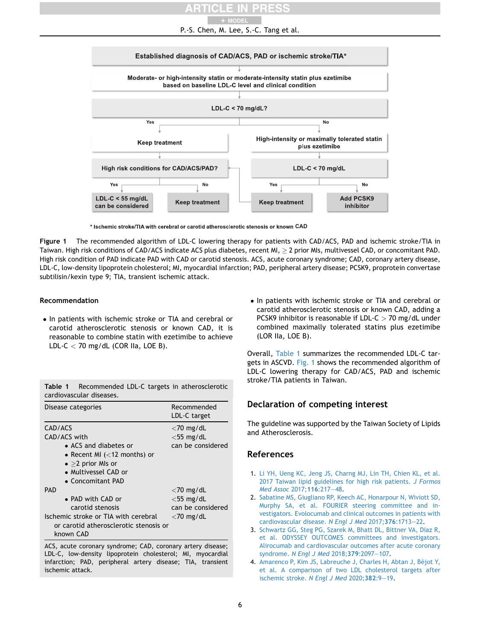+ MODEL

P.-S. Chen, M. Lee, S.-C. Tang et al.

<span id="page-5-5"></span>

\* Ischemic stroke/TIA with cerebral or carotid atherosclerotic stenosis or known CAD

Figure 1 The recommended algorithm of LDL-C lowering therapy for patients with CAD/ACS, PAD and ischemic stroke/TIA in Taiwan. High risk conditions of CAD/ACS indicate ACS plus diabetes, recent MI,  $\geq$  2 prior MIs, multivessel CAD, or concomitant PAD. High risk condition of PAD indicate PAD with CAD or carotid stenosis. ACS, acute coronary syndrome; CAD, coronary artery disease, LDL-C, low-density lipoprotein cholesterol; MI, myocardial infarction; PAD, peripheral artery disease; PCSK9, proprotein convertase subtilisin/kexin type 9; TIA, transient ischemic attack.

#### Recommendation

• In patients with ischemic stroke or TIA and cerebral or carotid atherosclerotic stenosis or known CAD, it is reasonable to combine statin with ezetimibe to achieve LDL-C  $<$  70 mg/dL (COR IIa, LOE B).

<span id="page-5-4"></span>

| <b>Table 1</b> Recommended LDL-C targets in atherosclerotic |  |  |
|-------------------------------------------------------------|--|--|
| cardiovascular diseases.                                    |  |  |

| Disease categories                                                                                                                                                    | Recommended<br>LDL-C target                                       |
|-----------------------------------------------------------------------------------------------------------------------------------------------------------------------|-------------------------------------------------------------------|
| CAD/ACS<br>CAD/ACS with<br>• ACS and diabetes or<br>• Recent MI ( $<$ 12 months) or<br>$\bullet$ >2 prior MIs or<br>• Multivessel CAD or<br>$\bullet$ Concomitant PAD | $<$ 70 mg/dL<br>$<$ 55 mg/dL<br>can be considered                 |
| <b>PAD</b><br>• PAD with CAD or<br>carotid stenosis<br>Ischemic stroke or TIA with cerebral<br>or carotid atherosclerotic stenosis or<br>known CAD                    | $<$ 70 mg/dL<br>$<$ 55 mg/dL<br>can be considered<br>$<$ 70 mg/dL |

ACS, acute coronary syndrome; CAD, coronary artery disease; LDL-C, low-density lipoprotein cholesterol; MI, myocardial infarction; PAD, peripheral artery disease; TIA, transient ischemic attack.

 In patients with ischemic stroke or TIA and cerebral or carotid atherosclerotic stenosis or known CAD, adding a PCSK9 inhibitor is reasonable if LDL-C > 70 mg/dL under combined maximally tolerated statins plus ezetimibe (LOR IIa, LOE B).

Overall, [Table 1](#page-5-4) summarizes the recommended LDL-C targets in ASCVD. [Fig. 1](#page-5-5) shows the recommended algorithm of LDL-C lowering therapy for CAD/ACS, PAD and ischemic stroke/TIA patients in Taiwan.

# Declaration of competing interest

The guideline was supported by the Taiwan Society of Lipids and Atherosclerosis.

# References

- <span id="page-5-0"></span>1. [Li YH, Ueng KC, Jeng JS, Charng MJ, Lin TH, Chien KL, et al.](http://refhub.elsevier.com/S0929-6646(22)00103-6/sref1) [2017 Taiwan lipid guidelines for high risk patients.](http://refhub.elsevier.com/S0929-6646(22)00103-6/sref1) J Formos [Med Assoc](http://refhub.elsevier.com/S0929-6646(22)00103-6/sref1) 2017;116:217-[48.](http://refhub.elsevier.com/S0929-6646(22)00103-6/sref1)
- <span id="page-5-1"></span>2. [Sabatine MS, Giugliano RP, Keech AC, Honarpour N, Wiviott SD,](http://refhub.elsevier.com/S0929-6646(22)00103-6/sref2) [Murphy SA, et al. FOURIER steering committee and in](http://refhub.elsevier.com/S0929-6646(22)00103-6/sref2)[vestigators. Evolocumab and clinical outcomes in patients with](http://refhub.elsevier.com/S0929-6646(22)00103-6/sref2) [cardiovascular disease.](http://refhub.elsevier.com/S0929-6646(22)00103-6/sref2) N Engl J Med  $2017:376:1713-22$ .
- <span id="page-5-2"></span>3. [Schwartz GG, Steg PG, Szarek M, Bhatt DL, Bittner VA, Diaz R,](http://refhub.elsevier.com/S0929-6646(22)00103-6/sref3) [et al. ODYSSEY OUTCOMES committees and investigators.](http://refhub.elsevier.com/S0929-6646(22)00103-6/sref3) [Alirocumab and cardiovascular outcomes after acute coronary](http://refhub.elsevier.com/S0929-6646(22)00103-6/sref3) syndrome. [N Engl J Med](http://refhub.elsevier.com/S0929-6646(22)00103-6/sref3) 2018;379:2097-[107](http://refhub.elsevier.com/S0929-6646(22)00103-6/sref3).
- <span id="page-5-3"></span>4. Amarenco P, Kim JS, Labreuche J, Charles H, Abtan J, Béjot Y, [et al. A comparison of two LDL cholesterol targets after](http://refhub.elsevier.com/S0929-6646(22)00103-6/sref4) [ischemic stroke.](http://refhub.elsevier.com/S0929-6646(22)00103-6/sref4) N Engl J Med 2020;382:9-[19.](http://refhub.elsevier.com/S0929-6646(22)00103-6/sref4)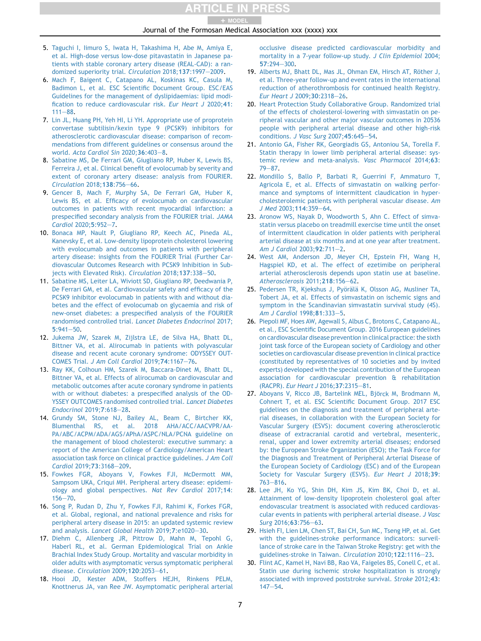+ MODEL

### Journal of the Formosan Medical Association xxx (xxxx) xxx

- <span id="page-6-0"></span>5. [Taguchi I, Iimuro S, Iwata H, Takashima H, Abe M, Amiya E,](http://refhub.elsevier.com/S0929-6646(22)00103-6/sref5) [et al. High-dose versus low-dose pitavastatin in Japanese pa](http://refhub.elsevier.com/S0929-6646(22)00103-6/sref5)[tients with stable coronary artery disease \(REAL-CAD\): a ran](http://refhub.elsevier.com/S0929-6646(22)00103-6/sref5)[domized superiority trial.](http://refhub.elsevier.com/S0929-6646(22)00103-6/sref5) Circulation 2018;137:1997-[2009.](http://refhub.elsevier.com/S0929-6646(22)00103-6/sref5)
- <span id="page-6-1"></span>6. [Mach F, Baigent C, Catapano AL, Koskinas KC, Casula M,](http://refhub.elsevier.com/S0929-6646(22)00103-6/sref6) [Badimon L, et al. ESC Scientific Document Group. ESC/EAS](http://refhub.elsevier.com/S0929-6646(22)00103-6/sref6) [Guidelines for the management of dyslipidaemias: lipid modi](http://refhub.elsevier.com/S0929-6646(22)00103-6/sref6)[fication to reduce cardiovascular risk.](http://refhub.elsevier.com/S0929-6646(22)00103-6/sref6) Eur Heart J 2020;41:  $111 - 88$  $111 - 88$
- <span id="page-6-2"></span>7. [Lin JL, Huang PH, Yeh HI, Li YH. Appropriate use of proprotein](http://refhub.elsevier.com/S0929-6646(22)00103-6/sref7) [convertase subtilisin/kexin type 9 \(PCSK9\) inhibitors for](http://refhub.elsevier.com/S0929-6646(22)00103-6/sref7) [atherosclerotic cardiovascular disease: comparison of recom](http://refhub.elsevier.com/S0929-6646(22)00103-6/sref7)[mendations from different guidelines or consensus around the](http://refhub.elsevier.com/S0929-6646(22)00103-6/sref7) world. [Acta Cardiol Sin](http://refhub.elsevier.com/S0929-6646(22)00103-6/sref7) 2020;36:403-[8.](http://refhub.elsevier.com/S0929-6646(22)00103-6/sref7)
- <span id="page-6-3"></span>8. [Sabatine MS, De Ferrari GM, Giugliano RP, Huber K, Lewis BS,](http://refhub.elsevier.com/S0929-6646(22)00103-6/sref8) [Ferreira J, et al. Clinical benefit of evolocumab by severity and](http://refhub.elsevier.com/S0929-6646(22)00103-6/sref8) [extent of coronary artery disease: analysis from FOURIER.](http://refhub.elsevier.com/S0929-6646(22)00103-6/sref8) [Circulation](http://refhub.elsevier.com/S0929-6646(22)00103-6/sref8) 2018;138:756-[66.](http://refhub.elsevier.com/S0929-6646(22)00103-6/sref8)
- 9. [Gencer B, Mach F, Murphy SA, De Ferrari GM, Huber K,](http://refhub.elsevier.com/S0929-6646(22)00103-6/sref9) [Lewis BS, et al. Efficacy of evolocumab on cardiovascular](http://refhub.elsevier.com/S0929-6646(22)00103-6/sref9) [outcomes in patients with recent myocardial infarction: a](http://refhub.elsevier.com/S0929-6646(22)00103-6/sref9) [prespecified secondary analysis from the FOURIER trial.](http://refhub.elsevier.com/S0929-6646(22)00103-6/sref9) JAMA [Cardiol](http://refhub.elsevier.com/S0929-6646(22)00103-6/sref9) 2020:5:952-[7.](http://refhub.elsevier.com/S0929-6646(22)00103-6/sref9)
- <span id="page-6-21"></span>10. [Bonaca MP, Nault P, Giugliano RP, Keech AC, Pineda AL,](http://refhub.elsevier.com/S0929-6646(22)00103-6/sref10) [Kanevsky E, et al. Low-density lipoprotein cholesterol lowering](http://refhub.elsevier.com/S0929-6646(22)00103-6/sref10) [with evolocumab and outcomes in patients with peripheral](http://refhub.elsevier.com/S0929-6646(22)00103-6/sref10) [artery disease: insights from the FOURIER Trial \(Further Car](http://refhub.elsevier.com/S0929-6646(22)00103-6/sref10)[diovascular Outcomes Research with PCSK9 Inhibition in Sub](http://refhub.elsevier.com/S0929-6646(22)00103-6/sref10)[jects with Elevated Risk\).](http://refhub.elsevier.com/S0929-6646(22)00103-6/sref10) Circulation 2018;137:338-[50](http://refhub.elsevier.com/S0929-6646(22)00103-6/sref10).
- <span id="page-6-4"></span>11. [Sabatine MS, Leiter LA, Wiviott SD, Giugliano RP, Deedwania P,](http://refhub.elsevier.com/S0929-6646(22)00103-6/sref11) [De Ferrari GM, et al. Cardiovascular safety and efficacy of the](http://refhub.elsevier.com/S0929-6646(22)00103-6/sref11) [PCSK9 inhibitor evolocumab in patients with and without dia](http://refhub.elsevier.com/S0929-6646(22)00103-6/sref11)[betes and the effect of evolocumab on glycaemia and risk of](http://refhub.elsevier.com/S0929-6646(22)00103-6/sref11) [new-onset diabetes: a prespecified analysis of the FOURIER](http://refhub.elsevier.com/S0929-6646(22)00103-6/sref11) [randomised controlled trial.](http://refhub.elsevier.com/S0929-6646(22)00103-6/sref11) Lancet Diabetes Endocrinol 2017;  $5:941 - 50.$  $5:941 - 50.$  $5:941 - 50.$  $5:941 - 50.$
- <span id="page-6-5"></span>12. [Jukema JW, Szarek M, Zijlstra LE, de Silva HA, Bhatt DL,](http://refhub.elsevier.com/S0929-6646(22)00103-6/sref12) [Bittner VA, et al. Alirocumab in patients with polyvascular](http://refhub.elsevier.com/S0929-6646(22)00103-6/sref12) [disease and recent acute coronary syndrome: ODYSSEY OUT-](http://refhub.elsevier.com/S0929-6646(22)00103-6/sref12)COMES Trial. [J Am Coll Cardiol](http://refhub.elsevier.com/S0929-6646(22)00103-6/sref12)  $2019;74:1167-76$  $2019;74:1167-76$ .
- <span id="page-6-6"></span>13. [Ray KK, Colhoun HM, Szarek M, Baccara-Dinet M, Bhatt DL,](http://refhub.elsevier.com/S0929-6646(22)00103-6/sref13) [Bittner VA, et al. Effects of alirocumab on cardiovascular and](http://refhub.elsevier.com/S0929-6646(22)00103-6/sref13) [metabolic outcomes after acute coronary syndrome in patients](http://refhub.elsevier.com/S0929-6646(22)00103-6/sref13) [with or without diabetes: a prespecified analysis of the OD-](http://refhub.elsevier.com/S0929-6646(22)00103-6/sref13)[YSSEY OUTCOMES randomised controlled trial.](http://refhub.elsevier.com/S0929-6646(22)00103-6/sref13) Lancet Diabetes [Endocrinol](http://refhub.elsevier.com/S0929-6646(22)00103-6/sref13) 2019;7:618-[28.](http://refhub.elsevier.com/S0929-6646(22)00103-6/sref13)
- <span id="page-6-7"></span>14. [Grundy SM, Stone NJ, Bailey AL, Beam C, Birtcher KK,](http://refhub.elsevier.com/S0929-6646(22)00103-6/sref14) [Blumenthal RS, et al. 2018 AHA/ACC/AACVPR/AA-](http://refhub.elsevier.com/S0929-6646(22)00103-6/sref14)[PA/ABC/ACPM/ADA/AGS/APhA/ASPC/NLA/PCNA guideline on](http://refhub.elsevier.com/S0929-6646(22)00103-6/sref14) [the management of blood cholesterol: executive summary: a](http://refhub.elsevier.com/S0929-6646(22)00103-6/sref14) [report of the American College of Cardiology/American Heart](http://refhub.elsevier.com/S0929-6646(22)00103-6/sref14) [association task force on clinical practice guidelines.](http://refhub.elsevier.com/S0929-6646(22)00103-6/sref14) J Am Coll [Cardiol](http://refhub.elsevier.com/S0929-6646(22)00103-6/sref14) 2019:73:3168-[209.](http://refhub.elsevier.com/S0929-6646(22)00103-6/sref14)
- <span id="page-6-8"></span>15. [Fowkes FGR, Aboyans V, Fowkes FJI, McDermott MM,](http://refhub.elsevier.com/S0929-6646(22)00103-6/sref15) [Sampsom UKA, Criqui MH. Peripheral artery disease: epidemi](http://refhub.elsevier.com/S0929-6646(22)00103-6/sref15)[ology and global perspectives.](http://refhub.elsevier.com/S0929-6646(22)00103-6/sref15) Nat Rev Cardiol 2017;14:  $156 - 70.$  $156 - 70.$  $156 - 70.$  $156 - 70.$
- <span id="page-6-9"></span>16. [Song P, Rudan D, Zhu Y, Fowkes FJI, Rahimi K, Forkes FGR,](http://refhub.elsevier.com/S0929-6646(22)00103-6/sref16) [et al. Global, regional, and national prevalence and risks for](http://refhub.elsevier.com/S0929-6646(22)00103-6/sref16) [peripheral artery disease in 2015: an updated systemic review](http://refhub.elsevier.com/S0929-6646(22)00103-6/sref16) and analysis. [Lancet Global Health](http://refhub.elsevier.com/S0929-6646(22)00103-6/sref16) 2019;7:e1020-[30](http://refhub.elsevier.com/S0929-6646(22)00103-6/sref16).
- <span id="page-6-10"></span>17. [Diehm C, Allenberg JR, Pittrow D, Mahn M, Tepohl G,](http://refhub.elsevier.com/S0929-6646(22)00103-6/sref17) [Haberl RL, et al. German Epidemiological Trial on Ankle](http://refhub.elsevier.com/S0929-6646(22)00103-6/sref17) [Brachial Index Study Group. Mortality and vascular morbidity in](http://refhub.elsevier.com/S0929-6646(22)00103-6/sref17) [older adults with asymptomatic versus symptomatic peripheral](http://refhub.elsevier.com/S0929-6646(22)00103-6/sref17) disease. [Circulation](http://refhub.elsevier.com/S0929-6646(22)00103-6/sref17) 2009;120:2053-[61.](http://refhub.elsevier.com/S0929-6646(22)00103-6/sref17)
- <span id="page-6-11"></span>18. [Hooi JD, Kester ADM, Stoffers HEJH, Rinkens PELM,](http://refhub.elsevier.com/S0929-6646(22)00103-6/sref18) [Knottnerus JA, van Ree JW. Asymptomatic peripheral arterial](http://refhub.elsevier.com/S0929-6646(22)00103-6/sref18)

[occlusive disease predicted cardiovascular morbidity and](http://refhub.elsevier.com/S0929-6646(22)00103-6/sref18) [mortality in a 7-year follow-up study.](http://refhub.elsevier.com/S0929-6646(22)00103-6/sref18) J Clin Epidemiol 2004; 57[:294](http://refhub.elsevier.com/S0929-6646(22)00103-6/sref18)-[300](http://refhub.elsevier.com/S0929-6646(22)00103-6/sref18).

- <span id="page-6-12"></span>19. Alberts MJ, Bhatt DL, Mas JL, Ohman EM, Hirsch AT, Röther J, [et al. Three-year follow-up and event rates in the international](http://refhub.elsevier.com/S0929-6646(22)00103-6/sref19) [reduction of atherothrombosis for continued health Registry.](http://refhub.elsevier.com/S0929-6646(22)00103-6/sref19) [Eur Heart J](http://refhub.elsevier.com/S0929-6646(22)00103-6/sref19) 2009;30:2318-[26](http://refhub.elsevier.com/S0929-6646(22)00103-6/sref19).
- <span id="page-6-13"></span>20. [Heart Protection Study Collaborative Group. Randomized trial](http://refhub.elsevier.com/S0929-6646(22)00103-6/sref20) [of the effects of cholesterol-lowering with simvastatin on pe](http://refhub.elsevier.com/S0929-6646(22)00103-6/sref20)[ripheral vascular and other major vascular outcomes in 20536](http://refhub.elsevier.com/S0929-6646(22)00103-6/sref20) [people with peripheral arterial disease and other high-risk](http://refhub.elsevier.com/S0929-6646(22)00103-6/sref20) conditions. [J Vasc Surg](http://refhub.elsevier.com/S0929-6646(22)00103-6/sref20)  $2007;45:645-54$ .
- <span id="page-6-14"></span>21. [Antonio GA, Fisher RK, Georgiadis GS, Antoniou SA, Torella F.](http://refhub.elsevier.com/S0929-6646(22)00103-6/sref21) [Statin therapy in lower limb peripheral arterial disease: sys](http://refhub.elsevier.com/S0929-6646(22)00103-6/sref21)[temic review and meta-analysis.](http://refhub.elsevier.com/S0929-6646(22)00103-6/sref21) Vasc Pharmacol 2014;63:  $79 - 87.$  $79 - 87.$  $79 - 87.$  $79 - 87.$
- <span id="page-6-15"></span>22. [Mondillo S, Ballo P, Barbati R, Guerrini F, Ammaturo T,](http://refhub.elsevier.com/S0929-6646(22)00103-6/sref22) [Agricola E, et al. Effects of simvastatin on walking perfor](http://refhub.elsevier.com/S0929-6646(22)00103-6/sref22)[mance and symptoms of intermittent claudication in hyper](http://refhub.elsevier.com/S0929-6646(22)00103-6/sref22)[cholesterolemic patients with peripheral vascular disease.](http://refhub.elsevier.com/S0929-6646(22)00103-6/sref22) Am [J Med](http://refhub.elsevier.com/S0929-6646(22)00103-6/sref22) 2003;114:359-[64](http://refhub.elsevier.com/S0929-6646(22)00103-6/sref22).
- 23. [Aronow WS, Nayak D, Woodworth S, Ahn C. Effect of simva](http://refhub.elsevier.com/S0929-6646(22)00103-6/sref23)[statin versus placebo on treadmill exercise time until the onset](http://refhub.elsevier.com/S0929-6646(22)00103-6/sref23) [of intermittent claudication in older patients with peripheral](http://refhub.elsevier.com/S0929-6646(22)00103-6/sref23) [arterial disease at six months and at one year after treatment.](http://refhub.elsevier.com/S0929-6646(22)00103-6/sref23) [Am J Cardiol](http://refhub.elsevier.com/S0929-6646(22)00103-6/sref23) [2](http://refhub.elsevier.com/S0929-6646(22)00103-6/sref23)003;92:711-2.
- <span id="page-6-17"></span>24. [West AM, Anderson JD, Meyer CH, Epstein FH, Wang H,](http://refhub.elsevier.com/S0929-6646(22)00103-6/sref24) [Hagspiel KD, et al. The effect of ezetimibe on peripheral](http://refhub.elsevier.com/S0929-6646(22)00103-6/sref24) [arterial atherosclerosis depends upon statin use at baseline.](http://refhub.elsevier.com/S0929-6646(22)00103-6/sref24) [Atherosclerosis](http://refhub.elsevier.com/S0929-6646(22)00103-6/sref24) 2011;218:156-[62.](http://refhub.elsevier.com/S0929-6646(22)00103-6/sref24)
- <span id="page-6-16"></span>25. Pedersen TR, Kjekshus J, Pyörälä K, Olsson AG, Musliner TA, [Tobert JA, et al. Effects of simvastatin on ischemic signs and](http://refhub.elsevier.com/S0929-6646(22)00103-6/sref25) [symptom in the Scandinavian simvastatin survival study \(4S\).](http://refhub.elsevier.com/S0929-6646(22)00103-6/sref25) [Am J Cardiol](http://refhub.elsevier.com/S0929-6646(22)00103-6/sref25) 1998;81:333-[5](http://refhub.elsevier.com/S0929-6646(22)00103-6/sref25).
- <span id="page-6-18"></span>26. [Piepoli MF, Hoes AW, Agewall S, Albus C, Brotons C, Catapano AL,](http://refhub.elsevier.com/S0929-6646(22)00103-6/sref26) [et al., ESC Scientific Document Group. 2016 European guidelines](http://refhub.elsevier.com/S0929-6646(22)00103-6/sref26) [on cardiovascular disease prevention in clinical practice: the sixth](http://refhub.elsevier.com/S0929-6646(22)00103-6/sref26) [joint task force of the European society of Cardiology and other](http://refhub.elsevier.com/S0929-6646(22)00103-6/sref26) [societies on cardiovascular disease prevention in clinical practice](http://refhub.elsevier.com/S0929-6646(22)00103-6/sref26) [\(constituted by representatives of 10 societies and by invited](http://refhub.elsevier.com/S0929-6646(22)00103-6/sref26) [experts\) developed with the special contribution of the European](http://refhub.elsevier.com/S0929-6646(22)00103-6/sref26) [association for cardiovascular prevention & rehabilitation](http://refhub.elsevier.com/S0929-6646(22)00103-6/sref26) (RACPR). [Eur Heart J](http://refhub.elsevier.com/S0929-6646(22)00103-6/sref26) 2016; 37:2315-[81](http://refhub.elsevier.com/S0929-6646(22)00103-6/sref26).
- <span id="page-6-19"></span>27. Aboyans V, Ricco JB, Bartelink MEL, Björck M, Brodmann M, [Cohnert T, et al. ESC Scientific Document Group. 2017 ESC](http://refhub.elsevier.com/S0929-6646(22)00103-6/sref27) [guidelines on the diagnosis and treatment of peripheral arte](http://refhub.elsevier.com/S0929-6646(22)00103-6/sref27)[rial diseases, in collaboration with the European Society for](http://refhub.elsevier.com/S0929-6646(22)00103-6/sref27) [Vascular Surgery \(ESVS\): document covering atherosclerotic](http://refhub.elsevier.com/S0929-6646(22)00103-6/sref27) [disease of extracranial carotid and vertebral, mesenteric,](http://refhub.elsevier.com/S0929-6646(22)00103-6/sref27) [renal, upper and lower extremity arterial diseases; endorsed](http://refhub.elsevier.com/S0929-6646(22)00103-6/sref27) [by: the European Stroke Organization \(ESO\); the Task Force for](http://refhub.elsevier.com/S0929-6646(22)00103-6/sref27) [the Diagnosis and Treatment of Peripheral Arterial Disease of](http://refhub.elsevier.com/S0929-6646(22)00103-6/sref27) [the European Society of Cardiology \(ESC\) and of the European](http://refhub.elsevier.com/S0929-6646(22)00103-6/sref27) [Society for Vascular Surgery \(ESVS\).](http://refhub.elsevier.com/S0929-6646(22)00103-6/sref27) Eur Heart J 2018;39:  $763 - 816.$  $763 - 816.$  $763 - 816.$  $763 - 816.$
- <span id="page-6-20"></span>28. [Lee JH, Ko YG, Shin DH, Kim JS, Kim BK, Choi D, et al.](http://refhub.elsevier.com/S0929-6646(22)00103-6/sref28) [Attainment of low-density lipoprotein cholesterol goal after](http://refhub.elsevier.com/S0929-6646(22)00103-6/sref28) [endovascular treatment is associated with reduced cardiovas](http://refhub.elsevier.com/S0929-6646(22)00103-6/sref28)[cular events in patients with peripheral arterial disease.](http://refhub.elsevier.com/S0929-6646(22)00103-6/sref28) J Vasc Surg [2016;](http://refhub.elsevier.com/S0929-6646(22)00103-6/sref28)63:756-[63.](http://refhub.elsevier.com/S0929-6646(22)00103-6/sref28)
- <span id="page-6-22"></span>29. [Hsieh FI, Lien LM, Chen ST, Bai CH, Sun MC, Tseng HP, et al. Get](http://refhub.elsevier.com/S0929-6646(22)00103-6/sref29) [with the guidelines-stroke performance indicators: surveil](http://refhub.elsevier.com/S0929-6646(22)00103-6/sref29)[lance of stroke care in the Taiwan Stroke Registry: get with the](http://refhub.elsevier.com/S0929-6646(22)00103-6/sref29) [guidelines-stroke in Taiwan.](http://refhub.elsevier.com/S0929-6646(22)00103-6/sref29) Circulation 2010;122:1116-[23](http://refhub.elsevier.com/S0929-6646(22)00103-6/sref29).
- <span id="page-6-23"></span>30. [Flint AC, Kamel H, Navi BB, Rao VA, Faigeles BS, Conell C, et al.](http://refhub.elsevier.com/S0929-6646(22)00103-6/sref30) [Statin use during ischemic stroke hospitalization is strongly](http://refhub.elsevier.com/S0929-6646(22)00103-6/sref30) [associated with improved poststroke survival.](http://refhub.elsevier.com/S0929-6646(22)00103-6/sref30) Stroke 2012;43:  $147 - 54.$  $147 - 54.$  $147 - 54.$  $147 - 54.$